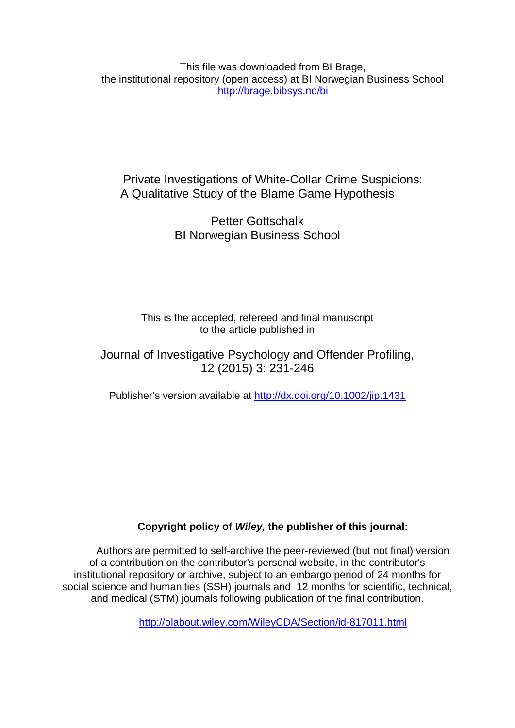This file was downloaded from BI Brage, the institutional repository (open access) at BI Norwegian Business School http://brage.bibsys.no/bi

# Private Investigations of White-Collar Crime Suspicions: A Qualitative Study of the Blame Game Hypothesis

Petter Gottschalk BI Norwegian Business School

This is the accepted, refereed and final manuscript to the article published in

Journal of Investigative Psychology and Offender Profiling, 12 (2015) 3: 231-246

Publisher's version available at <http://dx.doi.org/10.1002/jip.1431>

# **Copyright policy of** *Wiley,* **the publisher of this journal:**

Authors are permitted to self-archive the peer-reviewed (but not final) version of a contribution on the contributor's personal website, in the contributor's institutional repository or archive, subject to an embargo period of 24 months for social science and humanities (SSH) journals and 12 months for scientific, technical, and medical (STM) journals following publication of the final contribution.

<http://olabout.wiley.com/WileyCDA/Section/id-817011.html>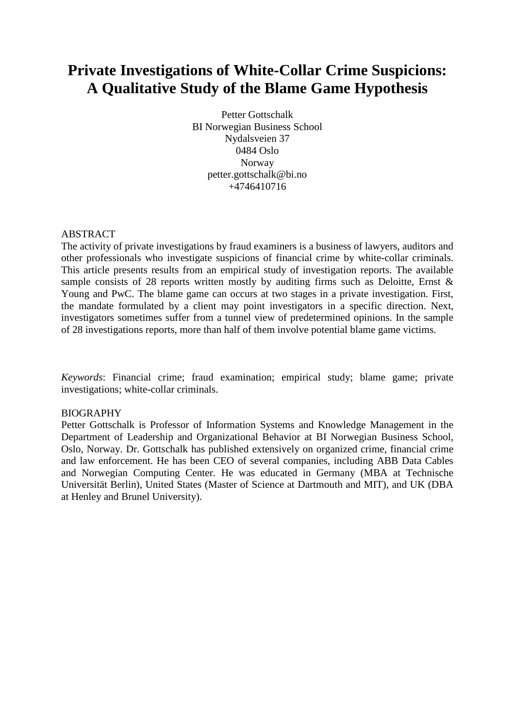# **Private Investigations of White-Collar Crime Suspicions: A Qualitative Study of the Blame Game Hypothesis**

Petter Gottschalk BI Norwegian Business School Nydalsveien 37 0484 Oslo Norway petter.gottschalk@bi.no +4746410716

#### ABSTRACT

The activity of private investigations by fraud examiners is a business of lawyers, auditors and other professionals who investigate suspicions of financial crime by white-collar criminals. This article presents results from an empirical study of investigation reports. The available sample consists of 28 reports written mostly by auditing firms such as Deloitte, Ernst & Young and PwC. The blame game can occurs at two stages in a private investigation. First, the mandate formulated by a client may point investigators in a specific direction. Next, investigators sometimes suffer from a tunnel view of predetermined opinions. In the sample of 28 investigations reports, more than half of them involve potential blame game victims.

*Keywords*: Financial crime; fraud examination; empirical study; blame game; private investigations; white-collar criminals.

#### BIOGRAPHY

Petter Gottschalk is Professor of Information Systems and Knowledge Management in the Department of Leadership and Organizational Behavior at BI Norwegian Business School, Oslo, Norway. Dr. Gottschalk has published extensively on organized crime, financial crime and law enforcement. He has been CEO of several companies, including ABB Data Cables and Norwegian Computing Center. He was educated in Germany (MBA at Technische Universität Berlin), United States (Master of Science at Dartmouth and MIT), and UK (DBA at Henley and Brunel University).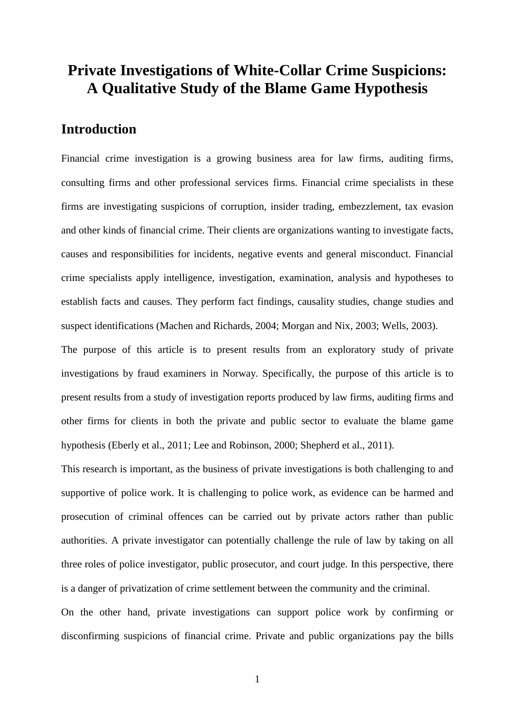# **Private Investigations of White-Collar Crime Suspicions: A Qualitative Study of the Blame Game Hypothesis**

# **Introduction**

Financial crime investigation is a growing business area for law firms, auditing firms, consulting firms and other professional services firms. Financial crime specialists in these firms are investigating suspicions of corruption, insider trading, embezzlement, tax evasion and other kinds of financial crime. Their clients are organizations wanting to investigate facts, causes and responsibilities for incidents, negative events and general misconduct. Financial crime specialists apply intelligence, investigation, examination, analysis and hypotheses to establish facts and causes. They perform fact findings, causality studies, change studies and suspect identifications (Machen and Richards, 2004; Morgan and Nix, 2003; Wells, 2003).

The purpose of this article is to present results from an exploratory study of private investigations by fraud examiners in Norway. Specifically, the purpose of this article is to present results from a study of investigation reports produced by law firms, auditing firms and other firms for clients in both the private and public sector to evaluate the blame game hypothesis (Eberly et al., 2011; Lee and Robinson, 2000; Shepherd et al., 2011).

This research is important, as the business of private investigations is both challenging to and supportive of police work. It is challenging to police work, as evidence can be harmed and prosecution of criminal offences can be carried out by private actors rather than public authorities. A private investigator can potentially challenge the rule of law by taking on all three roles of police investigator, public prosecutor, and court judge. In this perspective, there is a danger of privatization of crime settlement between the community and the criminal.

On the other hand, private investigations can support police work by confirming or disconfirming suspicions of financial crime. Private and public organizations pay the bills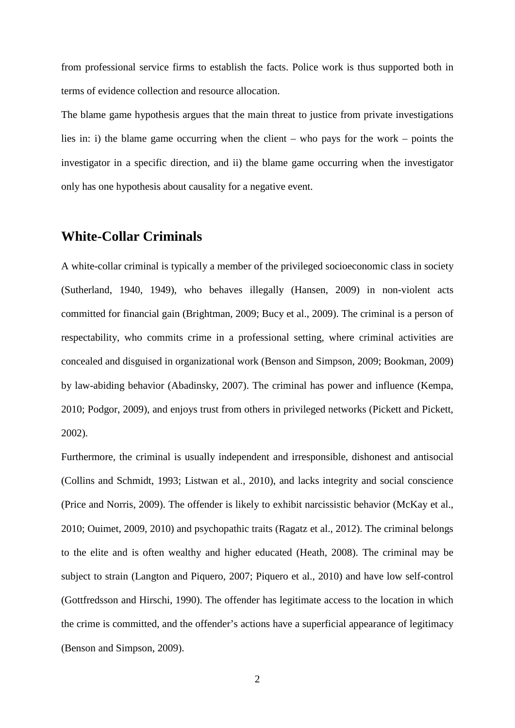from professional service firms to establish the facts. Police work is thus supported both in terms of evidence collection and resource allocation.

The blame game hypothesis argues that the main threat to justice from private investigations lies in: i) the blame game occurring when the client – who pays for the work – points the investigator in a specific direction, and ii) the blame game occurring when the investigator only has one hypothesis about causality for a negative event.

#### **White-Collar Criminals**

A white-collar criminal is typically a member of the privileged socioeconomic class in society (Sutherland, 1940, 1949), who behaves illegally (Hansen, 2009) in non-violent acts committed for financial gain (Brightman, 2009; Bucy et al., 2009). The criminal is a person of respectability, who commits crime in a professional setting, where criminal activities are concealed and disguised in organizational work (Benson and Simpson, 2009; Bookman, 2009) by law-abiding behavior (Abadinsky, 2007). The criminal has power and influence (Kempa, 2010; Podgor, 2009), and enjoys trust from others in privileged networks (Pickett and Pickett, 2002).

Furthermore, the criminal is usually independent and irresponsible, dishonest and antisocial (Collins and Schmidt, 1993; Listwan et al., 2010), and lacks integrity and social conscience (Price and Norris, 2009). The offender is likely to exhibit narcissistic behavior (McKay et al., 2010; Ouimet, 2009, 2010) and psychopathic traits (Ragatz et al., 2012). The criminal belongs to the elite and is often wealthy and higher educated (Heath, 2008). The criminal may be subject to strain (Langton and Piquero, 2007; Piquero et al., 2010) and have low self-control (Gottfredsson and Hirschi, 1990). The offender has legitimate access to the location in which the crime is committed, and the offender's actions have a superficial appearance of legitimacy (Benson and Simpson, 2009).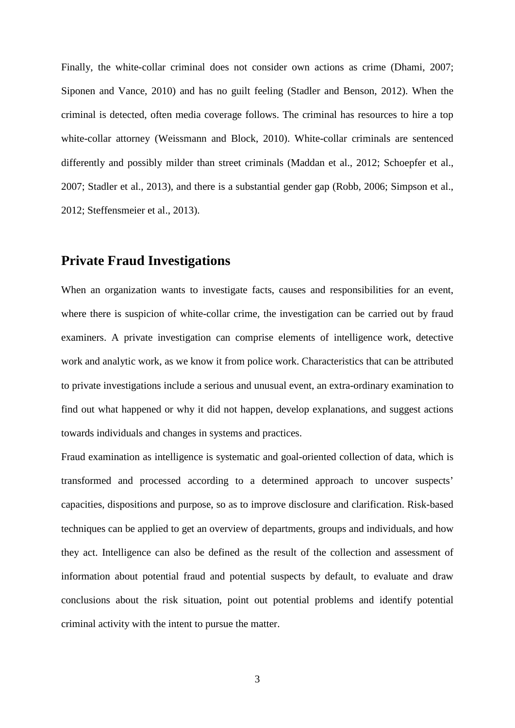Finally, the white-collar criminal does not consider own actions as crime (Dhami, 2007; Siponen and Vance, 2010) and has no guilt feeling (Stadler and Benson, 2012). When the criminal is detected, often media coverage follows. The criminal has resources to hire a top white-collar attorney (Weissmann and Block, 2010). White-collar criminals are sentenced differently and possibly milder than street criminals (Maddan et al., 2012; Schoepfer et al., 2007; Stadler et al., 2013), and there is a substantial gender gap (Robb, 2006; Simpson et al., 2012; Steffensmeier et al., 2013).

# **Private Fraud Investigations**

When an organization wants to investigate facts, causes and responsibilities for an event, where there is suspicion of white-collar crime, the investigation can be carried out by fraud examiners. A private investigation can comprise elements of intelligence work, detective work and analytic work, as we know it from police work. Characteristics that can be attributed to private investigations include a serious and unusual event, an extra-ordinary examination to find out what happened or why it did not happen, develop explanations, and suggest actions towards individuals and changes in systems and practices.

Fraud examination as intelligence is systematic and goal-oriented collection of data, which is transformed and processed according to a determined approach to uncover suspects' capacities, dispositions and purpose, so as to improve disclosure and clarification. Risk-based techniques can be applied to get an overview of departments, groups and individuals, and how they act. Intelligence can also be defined as the result of the collection and assessment of information about potential fraud and potential suspects by default, to evaluate and draw conclusions about the risk situation, point out potential problems and identify potential criminal activity with the intent to pursue the matter.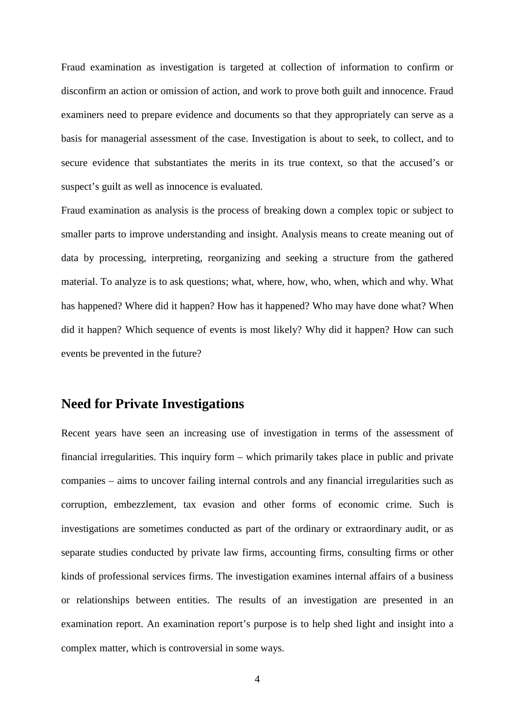Fraud examination as investigation is targeted at collection of information to confirm or disconfirm an action or omission of action, and work to prove both guilt and innocence. Fraud examiners need to prepare evidence and documents so that they appropriately can serve as a basis for managerial assessment of the case. Investigation is about to seek, to collect, and to secure evidence that substantiates the merits in its true context, so that the accused's or suspect's guilt as well as innocence is evaluated.

Fraud examination as analysis is the process of breaking down a complex topic or subject to smaller parts to improve understanding and insight. Analysis means to create meaning out of data by processing, interpreting, reorganizing and seeking a structure from the gathered material. To analyze is to ask questions; what, where, how, who, when, which and why. What has happened? Where did it happen? How has it happened? Who may have done what? When did it happen? Which sequence of events is most likely? Why did it happen? How can such events be prevented in the future?

# **Need for Private Investigations**

Recent years have seen an increasing use of investigation in terms of the assessment of financial irregularities. This inquiry form – which primarily takes place in public and private companies – aims to uncover failing internal controls and any financial irregularities such as corruption, embezzlement, tax evasion and other forms of economic crime. Such is investigations are sometimes conducted as part of the ordinary or extraordinary audit, or as separate studies conducted by private law firms, accounting firms, consulting firms or other kinds of professional services firms. The investigation examines internal affairs of a business or relationships between entities. The results of an investigation are presented in an examination report. An examination report's purpose is to help shed light and insight into a complex matter, which is controversial in some ways.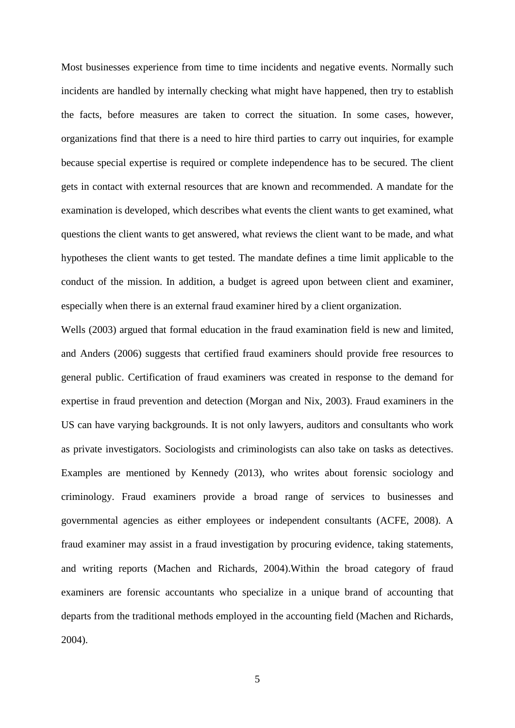Most businesses experience from time to time incidents and negative events. Normally such incidents are handled by internally checking what might have happened, then try to establish the facts, before measures are taken to correct the situation. In some cases, however, organizations find that there is a need to hire third parties to carry out inquiries, for example because special expertise is required or complete independence has to be secured. The client gets in contact with external resources that are known and recommended. A mandate for the examination is developed, which describes what events the client wants to get examined, what questions the client wants to get answered, what reviews the client want to be made, and what hypotheses the client wants to get tested. The mandate defines a time limit applicable to the conduct of the mission. In addition, a budget is agreed upon between client and examiner, especially when there is an external fraud examiner hired by a client organization.

Wells (2003) argued that formal education in the fraud examination field is new and limited, and Anders (2006) suggests that certified fraud examiners should provide free resources to general public. Certification of fraud examiners was created in response to the demand for expertise in fraud prevention and detection (Morgan and Nix, 2003). Fraud examiners in the US can have varying backgrounds. It is not only lawyers, auditors and consultants who work as private investigators. Sociologists and criminologists can also take on tasks as detectives. Examples are mentioned by Kennedy (2013), who writes about forensic sociology and criminology. Fraud examiners provide a broad range of services to businesses and governmental agencies as either employees or independent consultants (ACFE, 2008). A fraud examiner may assist in a fraud investigation by procuring evidence, taking statements, and writing reports (Machen and Richards, 2004).Within the broad category of fraud examiners are forensic accountants who specialize in a unique brand of accounting that departs from the traditional methods employed in the accounting field (Machen and Richards, 2004).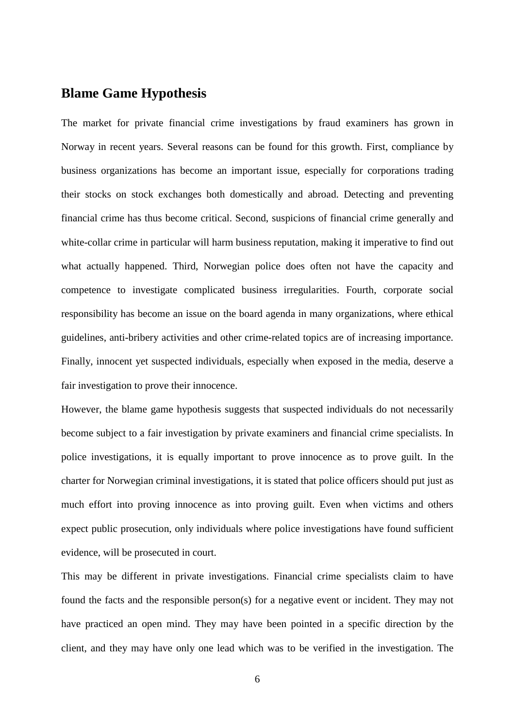# **Blame Game Hypothesis**

The market for private financial crime investigations by fraud examiners has grown in Norway in recent years. Several reasons can be found for this growth. First, compliance by business organizations has become an important issue, especially for corporations trading their stocks on stock exchanges both domestically and abroad. Detecting and preventing financial crime has thus become critical. Second, suspicions of financial crime generally and white-collar crime in particular will harm business reputation, making it imperative to find out what actually happened. Third, Norwegian police does often not have the capacity and competence to investigate complicated business irregularities. Fourth, corporate social responsibility has become an issue on the board agenda in many organizations, where ethical guidelines, anti-bribery activities and other crime-related topics are of increasing importance. Finally, innocent yet suspected individuals, especially when exposed in the media, deserve a fair investigation to prove their innocence.

However, the blame game hypothesis suggests that suspected individuals do not necessarily become subject to a fair investigation by private examiners and financial crime specialists. In police investigations, it is equally important to prove innocence as to prove guilt. In the charter for Norwegian criminal investigations, it is stated that police officers should put just as much effort into proving innocence as into proving guilt. Even when victims and others expect public prosecution, only individuals where police investigations have found sufficient evidence, will be prosecuted in court.

This may be different in private investigations. Financial crime specialists claim to have found the facts and the responsible person(s) for a negative event or incident. They may not have practiced an open mind. They may have been pointed in a specific direction by the client, and they may have only one lead which was to be verified in the investigation. The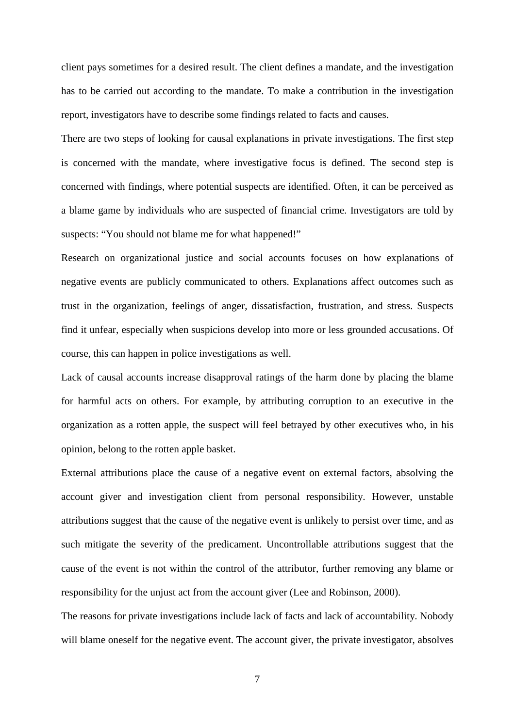client pays sometimes for a desired result. The client defines a mandate, and the investigation has to be carried out according to the mandate. To make a contribution in the investigation report, investigators have to describe some findings related to facts and causes.

There are two steps of looking for causal explanations in private investigations. The first step is concerned with the mandate, where investigative focus is defined. The second step is concerned with findings, where potential suspects are identified. Often, it can be perceived as a blame game by individuals who are suspected of financial crime. Investigators are told by suspects: "You should not blame me for what happened!"

Research on organizational justice and social accounts focuses on how explanations of negative events are publicly communicated to others. Explanations affect outcomes such as trust in the organization, feelings of anger, dissatisfaction, frustration, and stress. Suspects find it unfear, especially when suspicions develop into more or less grounded accusations. Of course, this can happen in police investigations as well.

Lack of causal accounts increase disapproval ratings of the harm done by placing the blame for harmful acts on others. For example, by attributing corruption to an executive in the organization as a rotten apple, the suspect will feel betrayed by other executives who, in his opinion, belong to the rotten apple basket.

External attributions place the cause of a negative event on external factors, absolving the account giver and investigation client from personal responsibility. However, unstable attributions suggest that the cause of the negative event is unlikely to persist over time, and as such mitigate the severity of the predicament. Uncontrollable attributions suggest that the cause of the event is not within the control of the attributor, further removing any blame or responsibility for the unjust act from the account giver (Lee and Robinson, 2000).

The reasons for private investigations include lack of facts and lack of accountability. Nobody will blame oneself for the negative event. The account giver, the private investigator, absolves

7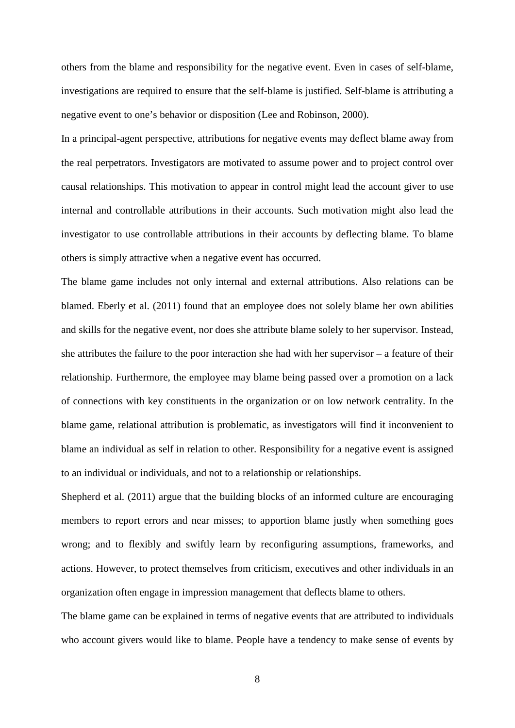others from the blame and responsibility for the negative event. Even in cases of self-blame, investigations are required to ensure that the self-blame is justified. Self-blame is attributing a negative event to one's behavior or disposition (Lee and Robinson, 2000).

In a principal-agent perspective, attributions for negative events may deflect blame away from the real perpetrators. Investigators are motivated to assume power and to project control over causal relationships. This motivation to appear in control might lead the account giver to use internal and controllable attributions in their accounts. Such motivation might also lead the investigator to use controllable attributions in their accounts by deflecting blame. To blame others is simply attractive when a negative event has occurred.

The blame game includes not only internal and external attributions. Also relations can be blamed. Eberly et al. (2011) found that an employee does not solely blame her own abilities and skills for the negative event, nor does she attribute blame solely to her supervisor. Instead, she attributes the failure to the poor interaction she had with her supervisor – a feature of their relationship. Furthermore, the employee may blame being passed over a promotion on a lack of connections with key constituents in the organization or on low network centrality. In the blame game, relational attribution is problematic, as investigators will find it inconvenient to blame an individual as self in relation to other. Responsibility for a negative event is assigned to an individual or individuals, and not to a relationship or relationships.

Shepherd et al. (2011) argue that the building blocks of an informed culture are encouraging members to report errors and near misses; to apportion blame justly when something goes wrong; and to flexibly and swiftly learn by reconfiguring assumptions, frameworks, and actions. However, to protect themselves from criticism, executives and other individuals in an organization often engage in impression management that deflects blame to others.

The blame game can be explained in terms of negative events that are attributed to individuals who account givers would like to blame. People have a tendency to make sense of events by

8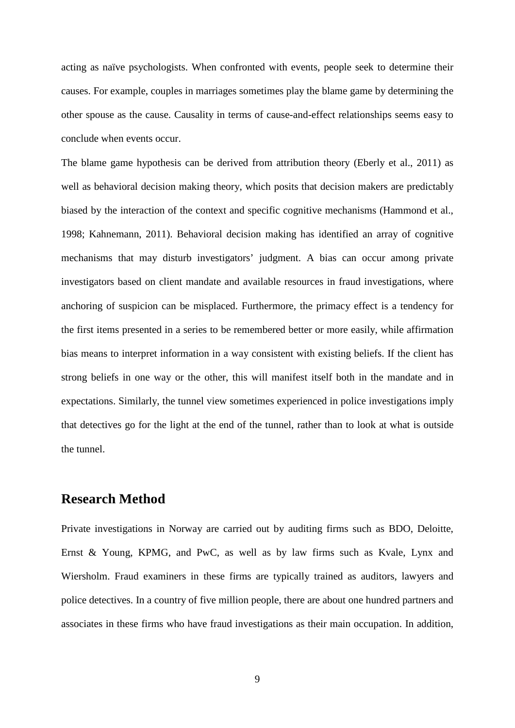acting as naïve psychologists. When confronted with events, people seek to determine their causes. For example, couples in marriages sometimes play the blame game by determining the other spouse as the cause. Causality in terms of cause-and-effect relationships seems easy to conclude when events occur.

The blame game hypothesis can be derived from attribution theory (Eberly et al., 2011) as well as behavioral decision making theory, which posits that decision makers are predictably biased by the interaction of the context and specific cognitive mechanisms (Hammond et al., 1998; Kahnemann, 2011). Behavioral decision making has identified an array of cognitive mechanisms that may disturb investigators' judgment. A bias can occur among private investigators based on client mandate and available resources in fraud investigations, where anchoring of suspicion can be misplaced. Furthermore, the primacy effect is a tendency for the first items presented in a series to be remembered better or more easily, while affirmation bias means to interpret information in a way consistent with existing beliefs. If the client has strong beliefs in one way or the other, this will manifest itself both in the mandate and in expectations. Similarly, the tunnel view sometimes experienced in police investigations imply that detectives go for the light at the end of the tunnel, rather than to look at what is outside the tunnel.

# **Research Method**

Private investigations in Norway are carried out by auditing firms such as BDO, Deloitte, Ernst & Young, KPMG, and PwC, as well as by law firms such as Kvale, Lynx and Wiersholm. Fraud examiners in these firms are typically trained as auditors, lawyers and police detectives. In a country of five million people, there are about one hundred partners and associates in these firms who have fraud investigations as their main occupation. In addition,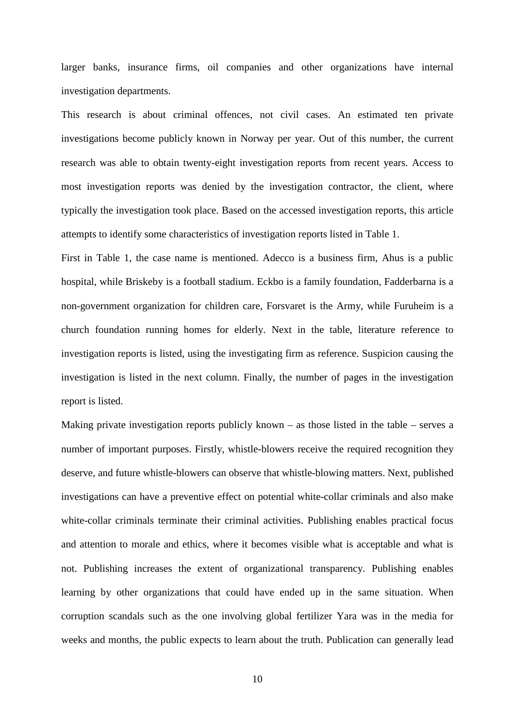larger banks, insurance firms, oil companies and other organizations have internal investigation departments.

This research is about criminal offences, not civil cases. An estimated ten private investigations become publicly known in Norway per year. Out of this number, the current research was able to obtain twenty-eight investigation reports from recent years. Access to most investigation reports was denied by the investigation contractor, the client, where typically the investigation took place. Based on the accessed investigation reports, this article attempts to identify some characteristics of investigation reports listed in Table 1.

First in Table 1, the case name is mentioned. Adecco is a business firm, Ahus is a public hospital, while Briskeby is a football stadium. Eckbo is a family foundation, Fadderbarna is a non-government organization for children care, Forsvaret is the Army, while Furuheim is a church foundation running homes for elderly. Next in the table, literature reference to investigation reports is listed, using the investigating firm as reference. Suspicion causing the investigation is listed in the next column. Finally, the number of pages in the investigation report is listed.

Making private investigation reports publicly known – as those listed in the table – serves a number of important purposes. Firstly, whistle-blowers receive the required recognition they deserve, and future whistle-blowers can observe that whistle-blowing matters. Next, published investigations can have a preventive effect on potential white-collar criminals and also make white-collar criminals terminate their criminal activities. Publishing enables practical focus and attention to morale and ethics, where it becomes visible what is acceptable and what is not. Publishing increases the extent of organizational transparency. Publishing enables learning by other organizations that could have ended up in the same situation. When corruption scandals such as the one involving global fertilizer Yara was in the media for weeks and months, the public expects to learn about the truth. Publication can generally lead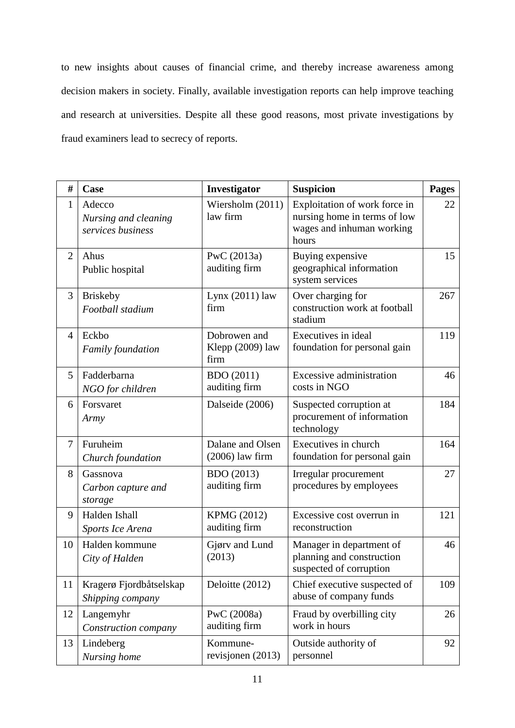to new insights about causes of financial crime, and thereby increase awareness among decision makers in society. Finally, available investigation reports can help improve teaching and research at universities. Despite all these good reasons, most private investigations by fraud examiners lead to secrecy of reports.

| #              | Case                                                | Investigator                             | <b>Suspicion</b>                                                                                    | <b>Pages</b> |
|----------------|-----------------------------------------------------|------------------------------------------|-----------------------------------------------------------------------------------------------------|--------------|
| $\mathbf{1}$   | Adecco<br>Nursing and cleaning<br>services business | Wiersholm (2011)<br>law firm             | Exploitation of work force in<br>nursing home in terms of low<br>wages and inhuman working<br>hours | 22           |
| $\overline{2}$ | Ahus<br>Public hospital                             | PwC (2013a)<br>auditing firm             | Buying expensive<br>geographical information<br>system services                                     | 15           |
| 3              | <b>Briskeby</b><br>Football stadium                 | Lynx $(2011)$ law<br>firm                | Over charging for<br>construction work at football<br>stadium                                       | 267          |
| $\overline{4}$ | Eckbo<br><b>Family foundation</b>                   | Dobrowen and<br>Klepp (2009) law<br>firm | Executives in ideal<br>foundation for personal gain                                                 | 119          |
| 5              | Fadderbarna<br>NGO for children                     | <b>BDO</b> (2011)<br>auditing firm       | <b>Excessive administration</b><br>costs in NGO                                                     | 46           |
| 6              | Forsvaret<br>Army                                   | Dalseide (2006)                          | Suspected corruption at<br>procurement of information<br>technology                                 | 184          |
| $\overline{7}$ | Furuheim<br>Church foundation                       | Dalane and Olsen<br>$(2006)$ law firm    | Executives in church<br>foundation for personal gain                                                | 164          |
| 8              | Gassnova<br>Carbon capture and<br>storage           | <b>BDO</b> (2013)<br>auditing firm       | Irregular procurement<br>procedures by employees                                                    | 27           |
| 9              | Halden Ishall<br>Sports Ice Arena                   | KPMG (2012)<br>auditing firm             | Excessive cost overrun in<br>reconstruction                                                         | 121          |
| 10             | Halden kommune<br>City of Halden                    | Gjørv and Lund<br>(2013)                 | Manager in department of<br>planning and construction<br>suspected of corruption                    | 46           |
| 11             | Kragerø Fjordbåtselskap<br>Shipping company         | Deloitte (2012)                          | Chief executive suspected of<br>abuse of company funds                                              | 109          |
| 12             | Langemyhr<br>Construction company                   | PwC (2008a)<br>auditing firm             | Fraud by overbilling city<br>work in hours                                                          | 26           |
| 13             | Lindeberg<br>Nursing home                           | Kommune-<br>revisjonen (2013)            | Outside authority of<br>personnel                                                                   | 92           |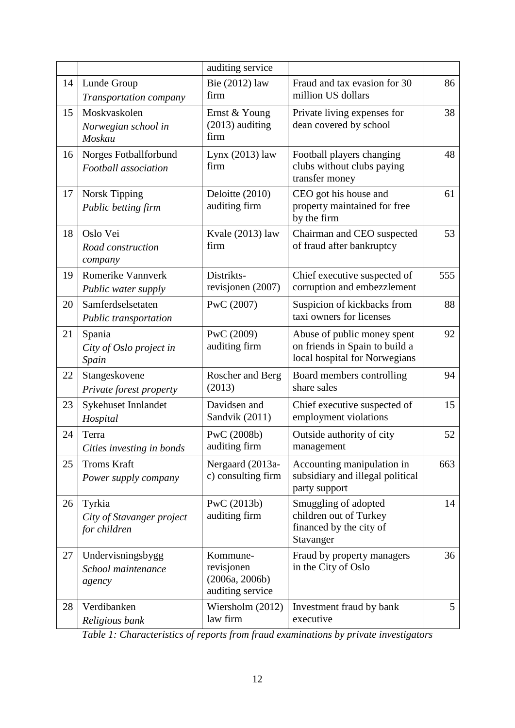|    |                                                     | auditing service                                             |                                                                                                |     |
|----|-----------------------------------------------------|--------------------------------------------------------------|------------------------------------------------------------------------------------------------|-----|
| 14 | Lunde Group<br>Transportation company               | Bie (2012) law<br>firm                                       | Fraud and tax evasion for 30<br>million US dollars                                             | 86  |
| 15 | Moskvaskolen<br>Norwegian school in<br>Moskau       | Ernst & Young<br>$(2013)$ auditing<br>firm                   | Private living expenses for<br>dean covered by school                                          | 38  |
| 16 | Norges Fotballforbund<br>Football association       | Lynx (2013) law<br>firm                                      | Football players changing<br>clubs without clubs paying<br>transfer money                      | 48  |
| 17 | Norsk Tipping<br>Public betting firm                | Deloitte (2010)<br>auditing firm                             | CEO got his house and<br>property maintained for free<br>by the firm                           | 61  |
| 18 | Oslo Vei<br>Road construction<br>company            | Kvale (2013) law<br>firm                                     | Chairman and CEO suspected<br>of fraud after bankruptcy                                        | 53  |
| 19 | <b>Romerike Vannverk</b><br>Public water supply     | Distrikts-<br>revisjonen (2007)                              | Chief executive suspected of<br>corruption and embezzlement                                    | 555 |
| 20 | Samferdselsetaten<br>Public transportation          | PwC (2007)                                                   | Suspicion of kickbacks from<br>taxi owners for licenses                                        | 88  |
| 21 | Spania<br>City of Oslo project in<br>Spain          | PwC (2009)<br>auditing firm                                  | Abuse of public money spent<br>on friends in Spain to build a<br>local hospital for Norwegians | 92  |
| 22 | Stangeskovene<br>Private forest property            | Roscher and Berg<br>(2013)                                   | Board members controlling<br>share sales                                                       | 94  |
| 23 | Sykehuset Innlandet<br>Hospital                     | Davidsen and<br>Sandvik (2011)                               | Chief executive suspected of<br>employment violations                                          | 15  |
| 24 | Terra<br>Cities investing in bonds                  | PwC (2008b)<br>auditing firm                                 | Outside authority of city<br>management                                                        | 52  |
| 25 | <b>Troms Kraft</b><br>Power supply company          | Nergaard (2013a-<br>c) consulting firm                       | Accounting manipulation in<br>subsidiary and illegal political<br>party support                | 663 |
| 26 | Tyrkia<br>City of Stavanger project<br>for children | PwC (2013b)<br>auditing firm                                 | Smuggling of adopted<br>children out of Turkey<br>financed by the city of<br>Stavanger         | 14  |
| 27 | Undervisningsbygg<br>School maintenance<br>agency   | Kommune-<br>revisjonen<br>(2006a, 2006b)<br>auditing service | Fraud by property managers<br>in the City of Oslo                                              | 36  |
| 28 | Verdibanken<br>Religious bank                       | Wiersholm (2012)<br>law firm                                 | Investment fraud by bank<br>executive                                                          | 5   |

*Table 1: Characteristics of reports from fraud examinations by private investigators*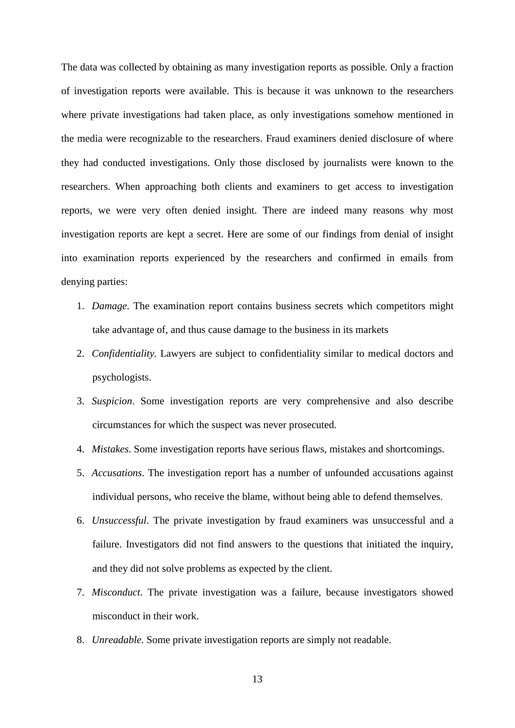The data was collected by obtaining as many investigation reports as possible. Only a fraction of investigation reports were available. This is because it was unknown to the researchers where private investigations had taken place, as only investigations somehow mentioned in the media were recognizable to the researchers. Fraud examiners denied disclosure of where they had conducted investigations. Only those disclosed by journalists were known to the researchers. When approaching both clients and examiners to get access to investigation reports, we were very often denied insight. There are indeed many reasons why most investigation reports are kept a secret. Here are some of our findings from denial of insight into examination reports experienced by the researchers and confirmed in emails from denying parties:

- 1. *Damage*. The examination report contains business secrets which competitors might take advantage of, and thus cause damage to the business in its markets
- 2. *Confidentiality*. Lawyers are subject to confidentiality similar to medical doctors and psychologists.
- 3. *Suspicion*. Some investigation reports are very comprehensive and also describe circumstances for which the suspect was never prosecuted.
- 4. *Mistakes*. Some investigation reports have serious flaws, mistakes and shortcomings.
- 5. *Accusations*. The investigation report has a number of unfounded accusations against individual persons, who receive the blame, without being able to defend themselves.
- 6. *Unsuccessful*. The private investigation by fraud examiners was unsuccessful and a failure. Investigators did not find answers to the questions that initiated the inquiry, and they did not solve problems as expected by the client.
- 7. *Misconduct*. The private investigation was a failure, because investigators showed misconduct in their work.
- 8. *Unreadable*. Some private investigation reports are simply not readable.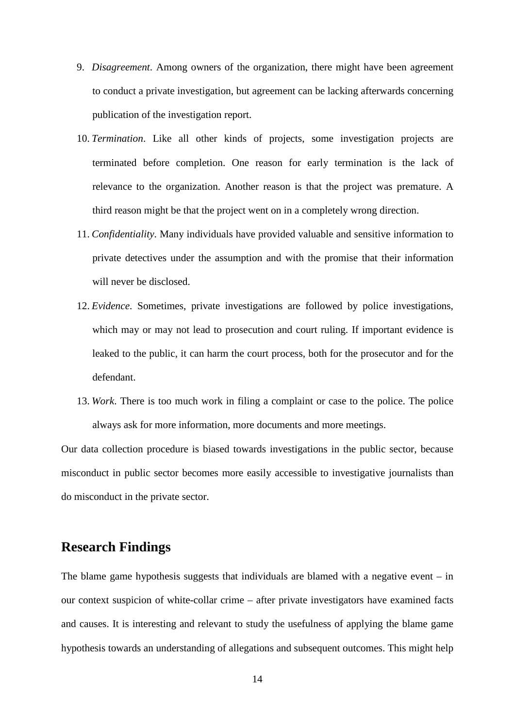- 9. *Disagreement*. Among owners of the organization, there might have been agreement to conduct a private investigation, but agreement can be lacking afterwards concerning publication of the investigation report.
- 10. *Termination*. Like all other kinds of projects, some investigation projects are terminated before completion. One reason for early termination is the lack of relevance to the organization. Another reason is that the project was premature. A third reason might be that the project went on in a completely wrong direction.
- 11. *Confidentiality*. Many individuals have provided valuable and sensitive information to private detectives under the assumption and with the promise that their information will never be disclosed.
- 12. *Evidence*. Sometimes, private investigations are followed by police investigations, which may or may not lead to prosecution and court ruling. If important evidence is leaked to the public, it can harm the court process, both for the prosecutor and for the defendant.
- 13. *Work*. There is too much work in filing a complaint or case to the police. The police always ask for more information, more documents and more meetings.

Our data collection procedure is biased towards investigations in the public sector, because misconduct in public sector becomes more easily accessible to investigative journalists than do misconduct in the private sector.

# **Research Findings**

The blame game hypothesis suggests that individuals are blamed with a negative event  $-$  in our context suspicion of white-collar crime – after private investigators have examined facts and causes. It is interesting and relevant to study the usefulness of applying the blame game hypothesis towards an understanding of allegations and subsequent outcomes. This might help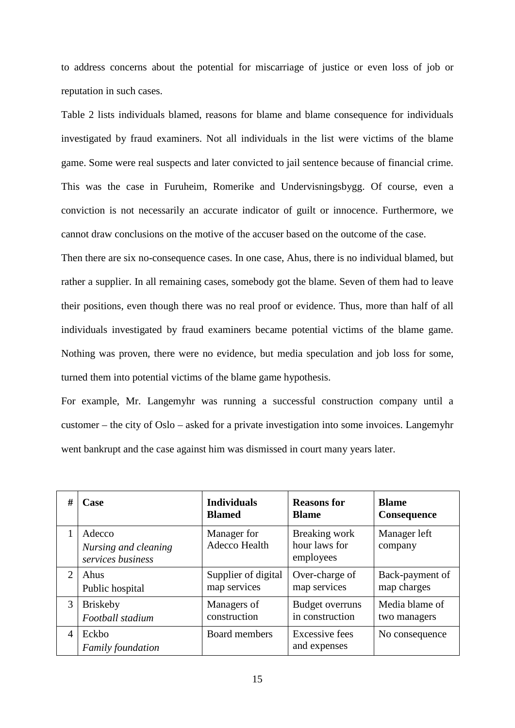to address concerns about the potential for miscarriage of justice or even loss of job or reputation in such cases.

Table 2 lists individuals blamed, reasons for blame and blame consequence for individuals investigated by fraud examiners. Not all individuals in the list were victims of the blame game. Some were real suspects and later convicted to jail sentence because of financial crime. This was the case in Furuheim, Romerike and Undervisningsbygg. Of course, even a conviction is not necessarily an accurate indicator of guilt or innocence. Furthermore, we cannot draw conclusions on the motive of the accuser based on the outcome of the case.

Then there are six no-consequence cases. In one case, Ahus, there is no individual blamed, but rather a supplier. In all remaining cases, somebody got the blame. Seven of them had to leave their positions, even though there was no real proof or evidence. Thus, more than half of all individuals investigated by fraud examiners became potential victims of the blame game. Nothing was proven, there were no evidence, but media speculation and job loss for some, turned them into potential victims of the blame game hypothesis.

For example, Mr. Langemyhr was running a successful construction company until a customer – the city of Oslo – asked for a private investigation into some invoices. Langemyhr went bankrupt and the case against him was dismissed in court many years later.

| #              | Case                                                | <b>Individuals</b><br><b>Blamed</b> | <b>Reasons for</b><br><b>Blame</b>          | <b>Blame</b><br>Consequence    |
|----------------|-----------------------------------------------------|-------------------------------------|---------------------------------------------|--------------------------------|
|                | Adecco<br>Nursing and cleaning<br>services business | Manager for<br>Adecco Health        | Breaking work<br>hour laws for<br>employees | Manager left<br>company        |
| 2              | Ahus<br>Public hospital                             | Supplier of digital<br>map services | Over-charge of<br>map services              | Back-payment of<br>map charges |
| 3              | <b>Briskeby</b><br>Football stadium                 | Managers of<br>construction         | <b>Budget overruns</b><br>in construction   | Media blame of<br>two managers |
| $\overline{4}$ | Eckbo<br><b>Family foundation</b>                   | Board members                       | <b>Excessive fees</b><br>and expenses       | No consequence                 |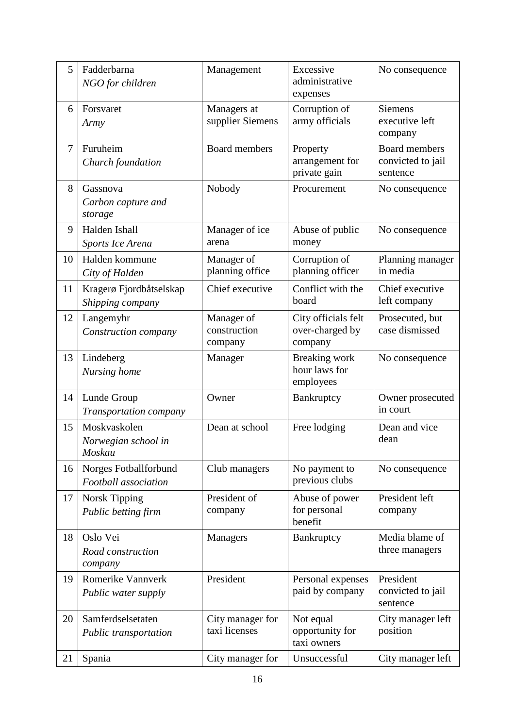| 5  | Fadderbarna<br>NGO for children                 | Management                            | Excessive<br>administrative<br>expenses            | No consequence                                 |
|----|-------------------------------------------------|---------------------------------------|----------------------------------------------------|------------------------------------------------|
| 6  | Forsvaret<br>Army                               | Managers at<br>supplier Siemens       | Corruption of<br>army officials                    | <b>Siemens</b><br>executive left<br>company    |
| 7  | Furuheim<br>Church foundation                   | Board members                         | Property<br>arrangement for<br>private gain        | Board members<br>convicted to jail<br>sentence |
| 8  | Gassnova<br>Carbon capture and<br>storage       | Nobody                                | Procurement                                        | No consequence                                 |
| 9  | Halden Ishall<br>Sports Ice Arena               | Manager of ice<br>arena               | Abuse of public<br>money                           | No consequence                                 |
| 10 | Halden kommune<br>City of Halden                | Manager of<br>planning office         | Corruption of<br>planning officer                  | Planning manager<br>in media                   |
| 11 | Kragerø Fjordbåtselskap<br>Shipping company     | Chief executive                       | Conflict with the<br>board                         | Chief executive<br>left company                |
| 12 | Langemyhr<br>Construction company               | Manager of<br>construction<br>company | City officials felt<br>over-charged by<br>company  | Prosecuted, but<br>case dismissed              |
| 13 | Lindeberg<br>Nursing home                       | Manager                               | <b>Breaking work</b><br>hour laws for<br>employees | No consequence                                 |
| 14 | Lunde Group<br>Transportation company           | Owner                                 | Bankruptcy                                         | Owner prosecuted<br>in court                   |
| 15 | Moskvaskolen<br>Norwegian school in<br>Moskau   | Dean at school                        | Free lodging                                       | Dean and vice<br>dean                          |
| 16 | Norges Fotballforbund<br>Football association   | Club managers                         | No payment to<br>previous clubs                    | No consequence                                 |
| 17 | <b>Norsk Tipping</b><br>Public betting firm     | President of<br>company               | Abuse of power<br>for personal<br>benefit          | President left<br>company                      |
| 18 | Oslo Vei<br>Road construction<br>company        | Managers                              | Bankruptcy                                         | Media blame of<br>three managers               |
| 19 | <b>Romerike Vannverk</b><br>Public water supply | President                             | Personal expenses<br>paid by company               | President<br>convicted to jail<br>sentence     |
| 20 | Samferdselsetaten<br>Public transportation      | City manager for<br>taxi licenses     | Not equal<br>opportunity for<br>taxi owners        | City manager left<br>position                  |
| 21 | Spania                                          | City manager for                      | Unsuccessful                                       | City manager left                              |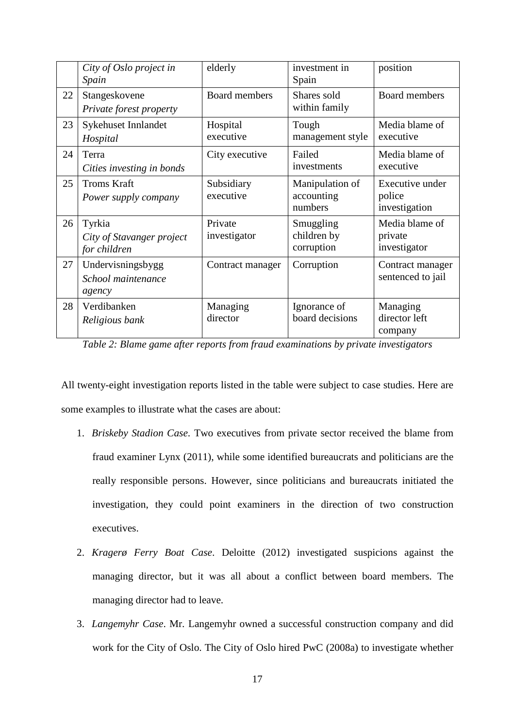|    | City of Oslo project in<br>Spain                    | elderly                 | investment in<br>Spain                   | position                                   |
|----|-----------------------------------------------------|-------------------------|------------------------------------------|--------------------------------------------|
| 22 | Stangeskovene<br>Private forest property            | Board members           | Shares sold<br>within family             | Board members                              |
| 23 | Sykehuset Innlandet<br>Hospital                     | Hospital<br>executive   | Tough<br>management style                | Media blame of<br>executive                |
| 24 | Terra<br>Cities investing in bonds                  | City executive          | Failed<br>investments                    | Media blame of<br>executive                |
| 25 | <b>Troms Kraft</b><br>Power supply company          | Subsidiary<br>executive | Manipulation of<br>accounting<br>numbers | Executive under<br>police<br>investigation |
| 26 | Tyrkia<br>City of Stavanger project<br>for children | Private<br>investigator | Smuggling<br>children by<br>corruption   | Media blame of<br>private<br>investigator  |
| 27 | Undervisningsbygg<br>School maintenance<br>agency   | Contract manager        | Corruption                               | Contract manager<br>sentenced to jail      |
| 28 | Verdibanken<br>Religious bank                       | Managing<br>director    | Ignorance of<br>board decisions          | Managing<br>director left<br>company       |

*Table 2: Blame game after reports from fraud examinations by private investigators*

All twenty-eight investigation reports listed in the table were subject to case studies. Here are some examples to illustrate what the cases are about:

- 1. *Briskeby Stadion Case*. Two executives from private sector received the blame from fraud examiner Lynx (2011), while some identified bureaucrats and politicians are the really responsible persons. However, since politicians and bureaucrats initiated the investigation, they could point examiners in the direction of two construction executives.
- 2. *Kragerø Ferry Boat Case*. Deloitte (2012) investigated suspicions against the managing director, but it was all about a conflict between board members. The managing director had to leave.
- 3. *Langemyhr Case*. Mr. Langemyhr owned a successful construction company and did work for the City of Oslo. The City of Oslo hired PwC (2008a) to investigate whether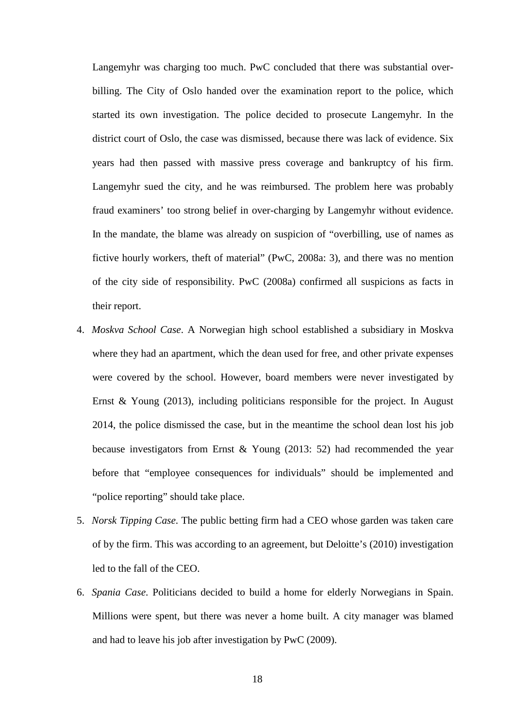Langemyhr was charging too much. PwC concluded that there was substantial overbilling. The City of Oslo handed over the examination report to the police, which started its own investigation. The police decided to prosecute Langemyhr. In the district court of Oslo, the case was dismissed, because there was lack of evidence. Six years had then passed with massive press coverage and bankruptcy of his firm. Langemyhr sued the city, and he was reimbursed. The problem here was probably fraud examiners' too strong belief in over-charging by Langemyhr without evidence. In the mandate, the blame was already on suspicion of "overbilling, use of names as fictive hourly workers, theft of material" (PwC, 2008a: 3), and there was no mention of the city side of responsibility. PwC (2008a) confirmed all suspicions as facts in their report.

- 4. *Moskva School Case*. A Norwegian high school established a subsidiary in Moskva where they had an apartment, which the dean used for free, and other private expenses were covered by the school. However, board members were never investigated by Ernst & Young (2013), including politicians responsible for the project. In August 2014, the police dismissed the case, but in the meantime the school dean lost his job because investigators from Ernst & Young (2013: 52) had recommended the year before that "employee consequences for individuals" should be implemented and "police reporting" should take place.
- 5. *Norsk Tipping Case*. The public betting firm had a CEO whose garden was taken care of by the firm. This was according to an agreement, but Deloitte's (2010) investigation led to the fall of the CEO.
- 6. *Spania Case*. Politicians decided to build a home for elderly Norwegians in Spain. Millions were spent, but there was never a home built. A city manager was blamed and had to leave his job after investigation by PwC (2009).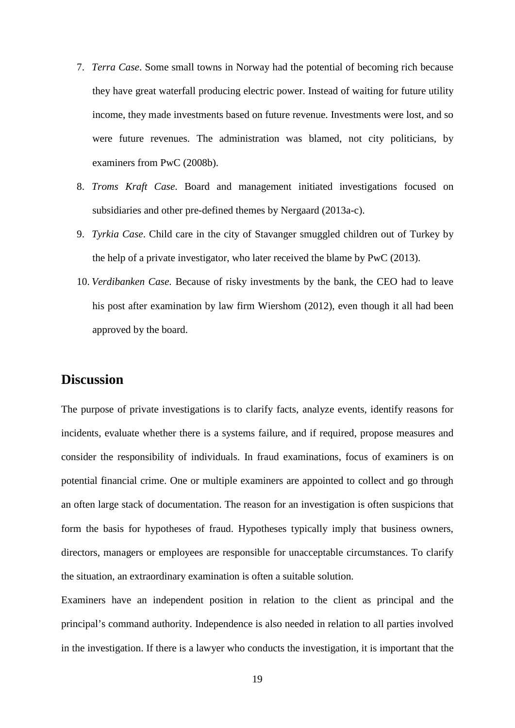- 7. *Terra Case*. Some small towns in Norway had the potential of becoming rich because they have great waterfall producing electric power. Instead of waiting for future utility income, they made investments based on future revenue. Investments were lost, and so were future revenues. The administration was blamed, not city politicians, by examiners from PwC (2008b).
- 8. *Troms Kraft Case*. Board and management initiated investigations focused on subsidiaries and other pre-defined themes by Nergaard (2013a-c).
- 9. *Tyrkia Case*. Child care in the city of Stavanger smuggled children out of Turkey by the help of a private investigator, who later received the blame by PwC (2013).
- 10. *Verdibanken Case*. Because of risky investments by the bank, the CEO had to leave his post after examination by law firm Wiershom (2012), even though it all had been approved by the board.

#### **Discussion**

The purpose of private investigations is to clarify facts, analyze events, identify reasons for incidents, evaluate whether there is a systems failure, and if required, propose measures and consider the responsibility of individuals. In fraud examinations, focus of examiners is on potential financial crime. One or multiple examiners are appointed to collect and go through an often large stack of documentation. The reason for an investigation is often suspicions that form the basis for hypotheses of fraud. Hypotheses typically imply that business owners, directors, managers or employees are responsible for unacceptable circumstances. To clarify the situation, an extraordinary examination is often a suitable solution.

Examiners have an independent position in relation to the client as principal and the principal's command authority. Independence is also needed in relation to all parties involved in the investigation. If there is a lawyer who conducts the investigation, it is important that the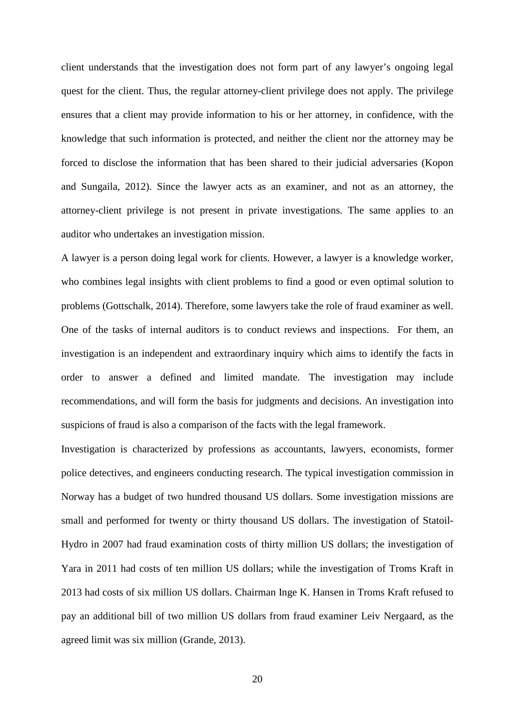client understands that the investigation does not form part of any lawyer's ongoing legal quest for the client. Thus, the regular attorney-client privilege does not apply. The privilege ensures that a client may provide information to his or her attorney, in confidence, with the knowledge that such information is protected, and neither the client nor the attorney may be forced to disclose the information that has been shared to their judicial adversaries (Kopon and Sungaila, 2012). Since the lawyer acts as an examiner, and not as an attorney, the attorney-client privilege is not present in private investigations. The same applies to an auditor who undertakes an investigation mission.

A lawyer is a person doing legal work for clients. However, a lawyer is a knowledge worker, who combines legal insights with client problems to find a good or even optimal solution to problems (Gottschalk, 2014). Therefore, some lawyers take the role of fraud examiner as well. One of the tasks of internal auditors is to conduct reviews and inspections. For them, an investigation is an independent and extraordinary inquiry which aims to identify the facts in order to answer a defined and limited mandate. The investigation may include recommendations, and will form the basis for judgments and decisions. An investigation into suspicions of fraud is also a comparison of the facts with the legal framework.

Investigation is characterized by professions as accountants, lawyers, economists, former police detectives, and engineers conducting research. The typical investigation commission in Norway has a budget of two hundred thousand US dollars. Some investigation missions are small and performed for twenty or thirty thousand US dollars. The investigation of Statoil-Hydro in 2007 had fraud examination costs of thirty million US dollars; the investigation of Yara in 2011 had costs of ten million US dollars; while the investigation of Troms Kraft in 2013 had costs of six million US dollars. Chairman Inge K. Hansen in Troms Kraft refused to pay an additional bill of two million US dollars from fraud examiner Leiv Nergaard, as the agreed limit was six million (Grande, 2013).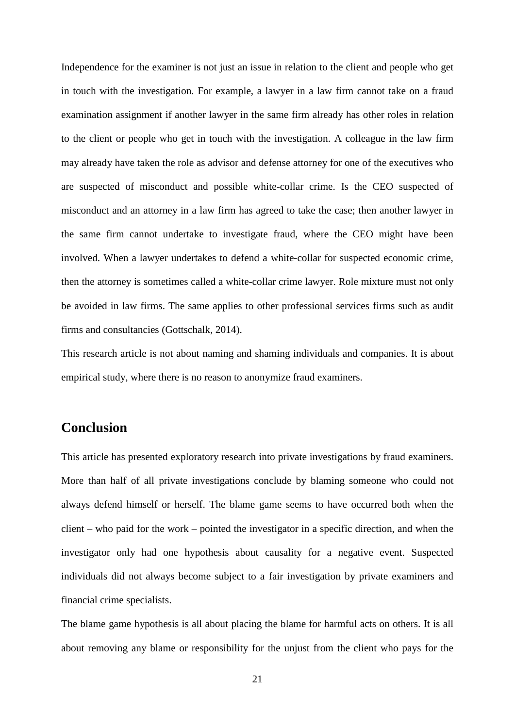Independence for the examiner is not just an issue in relation to the client and people who get in touch with the investigation. For example, a lawyer in a law firm cannot take on a fraud examination assignment if another lawyer in the same firm already has other roles in relation to the client or people who get in touch with the investigation. A colleague in the law firm may already have taken the role as advisor and defense attorney for one of the executives who are suspected of misconduct and possible white-collar crime. Is the CEO suspected of misconduct and an attorney in a law firm has agreed to take the case; then another lawyer in the same firm cannot undertake to investigate fraud, where the CEO might have been involved. When a lawyer undertakes to defend a white-collar for suspected economic crime, then the attorney is sometimes called a white-collar crime lawyer. Role mixture must not only be avoided in law firms. The same applies to other professional services firms such as audit firms and consultancies (Gottschalk, 2014).

This research article is not about naming and shaming individuals and companies. It is about empirical study, where there is no reason to anonymize fraud examiners.

## **Conclusion**

This article has presented exploratory research into private investigations by fraud examiners. More than half of all private investigations conclude by blaming someone who could not always defend himself or herself. The blame game seems to have occurred both when the client – who paid for the work – pointed the investigator in a specific direction, and when the investigator only had one hypothesis about causality for a negative event. Suspected individuals did not always become subject to a fair investigation by private examiners and financial crime specialists.

The blame game hypothesis is all about placing the blame for harmful acts on others. It is all about removing any blame or responsibility for the unjust from the client who pays for the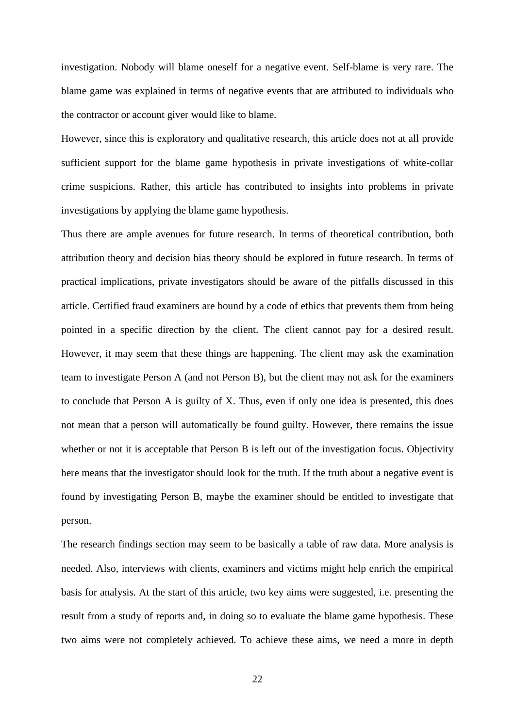investigation. Nobody will blame oneself for a negative event. Self-blame is very rare. The blame game was explained in terms of negative events that are attributed to individuals who the contractor or account giver would like to blame.

However, since this is exploratory and qualitative research, this article does not at all provide sufficient support for the blame game hypothesis in private investigations of white-collar crime suspicions. Rather, this article has contributed to insights into problems in private investigations by applying the blame game hypothesis.

Thus there are ample avenues for future research. In terms of theoretical contribution, both attribution theory and decision bias theory should be explored in future research. In terms of practical implications, private investigators should be aware of the pitfalls discussed in this article. Certified fraud examiners are bound by a code of ethics that prevents them from being pointed in a specific direction by the client. The client cannot pay for a desired result. However, it may seem that these things are happening. The client may ask the examination team to investigate Person A (and not Person B), but the client may not ask for the examiners to conclude that Person A is guilty of X. Thus, even if only one idea is presented, this does not mean that a person will automatically be found guilty. However, there remains the issue whether or not it is acceptable that Person B is left out of the investigation focus. Objectivity here means that the investigator should look for the truth. If the truth about a negative event is found by investigating Person B, maybe the examiner should be entitled to investigate that person.

The research findings section may seem to be basically a table of raw data. More analysis is needed. Also, interviews with clients, examiners and victims might help enrich the empirical basis for analysis. At the start of this article, two key aims were suggested, i.e. presenting the result from a study of reports and, in doing so to evaluate the blame game hypothesis. These two aims were not completely achieved. To achieve these aims, we need a more in depth

22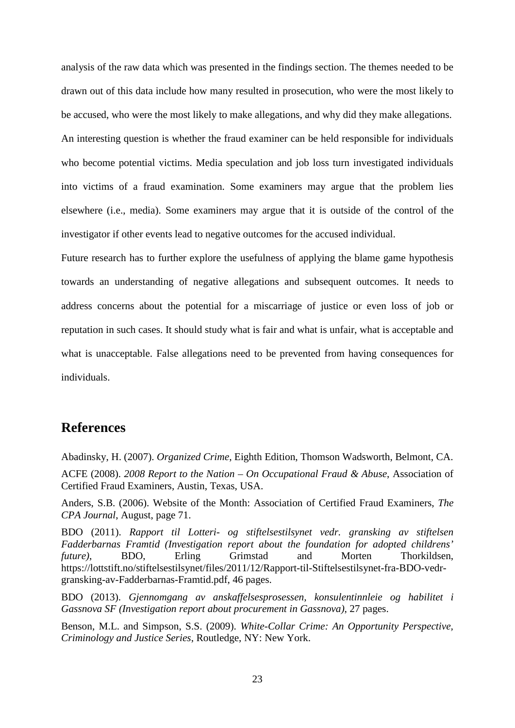analysis of the raw data which was presented in the findings section. The themes needed to be drawn out of this data include how many resulted in prosecution, who were the most likely to be accused, who were the most likely to make allegations, and why did they make allegations. An interesting question is whether the fraud examiner can be held responsible for individuals who become potential victims. Media speculation and job loss turn investigated individuals into victims of a fraud examination. Some examiners may argue that the problem lies elsewhere (i.e., media). Some examiners may argue that it is outside of the control of the investigator if other events lead to negative outcomes for the accused individual.

Future research has to further explore the usefulness of applying the blame game hypothesis towards an understanding of negative allegations and subsequent outcomes. It needs to address concerns about the potential for a miscarriage of justice or even loss of job or reputation in such cases. It should study what is fair and what is unfair, what is acceptable and what is unacceptable. False allegations need to be prevented from having consequences for individuals.

## **References**

Abadinsky, H. (2007). *Organized Crime*, Eighth Edition, Thomson Wadsworth, Belmont, CA.

ACFE (2008). *2008 Report to the Nation – On Occupational Fraud & Abuse*, Association of Certified Fraud Examiners, Austin, Texas, USA.

Anders, S.B. (2006). Website of the Month: Association of Certified Fraud Examiners, *The CPA Journal*, August, page 71.

BDO (2011). *Rapport til Lotteri- og stiftelsestilsynet vedr. gransking av stiftelsen Fadderbarnas Framtid (Investigation report about the foundation for adopted childrens' future)*, BDO, Erling Grimstad and Morten Thorkildsen, https://lottstift.no/stiftelsestilsynet/files/2011/12/Rapport-til-Stiftelsestilsynet-fra-BDO-vedrgransking-av-Fadderbarnas-Framtid.pdf, 46 pages.

BDO (2013). *Gjennomgang av anskaffelsesprosessen, konsulentinnleie og habilitet i Gassnova SF (Investigation report about procurement in Gassnova)*, 27 pages.

Benson, M.L. and Simpson, S.S. (2009). *White-Collar Crime: An Opportunity Perspective, Criminology and Justice Series*, Routledge, NY: New York.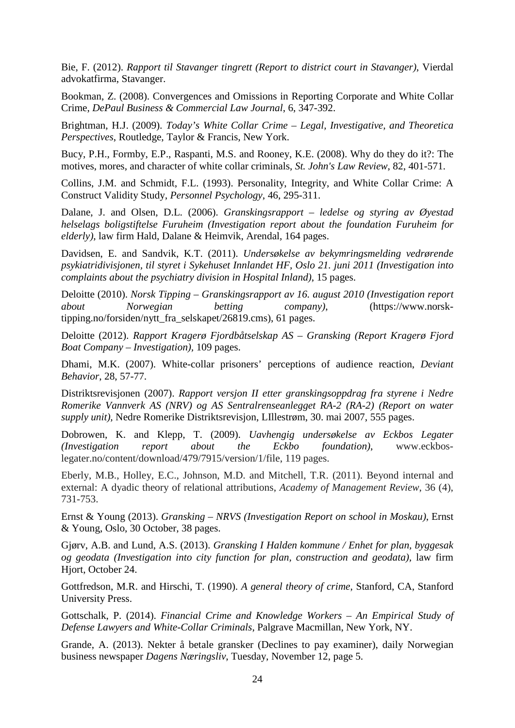Bie, F. (2012). *Rapport til Stavanger tingrett (Report to district court in Stavanger)*, Vierdal advokatfirma, Stavanger.

Bookman, Z. (2008). Convergences and Omissions in Reporting Corporate and White Collar Crime, *DePaul Business & Commercial Law Journal*, 6, 347-392.

Brightman, H.J. (2009). *Today's White Collar Crime – Legal, Investigative, and Theoretica Perspectives*, Routledge, Taylor & Francis, New York.

Bucy, P.H., Formby, E.P., Raspanti, M.S. and Rooney, K.E. (2008). Why do they do it?: The motives, mores, and character of white collar criminals, *St. John's Law Review*, 82, 401-571.

Collins, J.M. and Schmidt, F.L. (1993). Personality, Integrity, and White Collar Crime: A Construct Validity Study, *Personnel Psychology*, 46, 295-311.

Dalane, J. and Olsen, D.L. (2006). *Granskingsrapport – ledelse og styring av Øyestad helselags boligstiftelse Furuheim (Investigation report about the foundation Furuheim for elderly)*, law firm Hald, Dalane & Heimvik, Arendal, 164 pages.

Davidsen, E. and Sandvik, K.T. (2011). *Undersøkelse av bekymringsmelding vedrørende psykiatridivisjonen, til styret i Sykehuset Innlandet HF, Oslo 21. juni 2011 (Investigation into complaints about the psychiatry division in Hospital Inland)*, 15 pages.

Deloitte (2010). *Norsk Tipping – Granskingsrapport av 16. august 2010 (Investigation report about Norwegian betting company)*, (https://www.norsktipping.no/forsiden/nytt\_fra\_selskapet/26819.cms), 61 pages.

Deloitte (2012). *Rapport Kragerø Fjordbåtselskap AS – Gransking (Report Kragerø Fjord Boat Company – Investigation),* 109 pages.

Dhami, M.K. (2007). White-collar prisoners' perceptions of audience reaction, *Deviant Behavior*, 28, 57-77.

Distriktsrevisjonen (2007). *Rapport versjon II etter granskingsoppdrag fra styrene i Nedre Romerike Vannverk AS (NRV) og AS Sentralrenseanlegget RA-2 (RA-2) (Report on water supply unit),* Nedre Romerike Distriktsrevisjon, LIllestrøm, 30. mai 2007, 555 pages.

Dobrowen, K. and Klepp, T. (2009). *Uavhengig undersøkelse av Eckbos Legater (Investigation report about the Eckbo foundation)*, www.eckboslegater.no/content/download/479/7915/version/1/file, 119 pages.

Eberly, M.B., Holley, E.C., Johnson, M.D. and Mitchell, T.R. (2011). Beyond internal and external: A dyadic theory of relational attributions, *Academy of Management Review*, 36 (4), 731-753.

Ernst & Young (2013). *Gransking – NRVS (Investigation Report on school in Moskau)*, Ernst & Young, Oslo, 30 October, 38 pages.

Gjørv, A.B. and Lund, A.S. (2013). *Gransking I Halden kommune / Enhet for plan, byggesak og geodata (Investigation into city function for plan, construction and geodata),* law firm Hjort, October 24.

Gottfredson, M.R. and Hirschi, T. (1990). *A general theory of crime*, Stanford, CA, Stanford University Press.

Gottschalk, P. (2014). *Financial Crime and Knowledge Workers – An Empirical Study of Defense Lawyers and White-Collar Criminals*, Palgrave Macmillan, New York, NY.

Grande, A. (2013). Nekter å betale gransker (Declines to pay examiner), daily Norwegian business newspaper *Dagens Næringsliv*, Tuesday, November 12, page 5.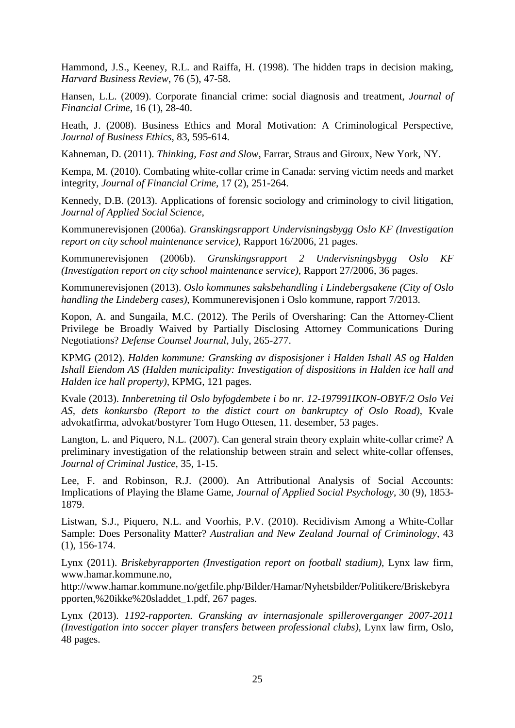Hammond, J.S., Keeney, R.L. and Raiffa, H. (1998). The hidden traps in decision making, *Harvard Business Review*, 76 (5), 47-58.

Hansen, L.L. (2009). Corporate financial crime: social diagnosis and treatment, *Journal of Financial Crime*, 16 (1), 28-40.

Heath, J. (2008). Business Ethics and Moral Motivation: A Criminological Perspective, *Journal of Business Ethics*, 83, 595-614.

Kahneman, D. (2011). *Thinking, Fast and Slow*, Farrar, Straus and Giroux, New York, NY.

Kempa, M. (2010). Combating white-collar crime in Canada: serving victim needs and market integrity, *Journal of Financial Crime*, 17 (2), 251-264.

Kennedy, D.B. (2013). Applications of forensic sociology and criminology to civil litigation, *Journal of Applied Social Science*,

Kommunerevisjonen (2006a). *Granskingsrapport Undervisningsbygg Oslo KF (Investigation report on city school maintenance service)*, Rapport 16/2006, 21 pages.

Kommunerevisjonen (2006b). *Granskingsrapport 2 Undervisningsbygg Oslo KF (Investigation report on city school maintenance service)*, Rapport 27/2006, 36 pages.

Kommunerevisjonen (2013). *Oslo kommunes saksbehandling i Lindebergsakene (City of Oslo handling the Lindeberg cases)*, Kommunerevisjonen i Oslo kommune, rapport 7/2013.

Kopon, A. and Sungaila, M.C. (2012). The Perils of Oversharing: Can the Attorney-Client Privilege be Broadly Waived by Partially Disclosing Attorney Communications During Negotiations? *Defense Counsel Journal*, July, 265-277.

KPMG (2012). *Halden kommune: Gransking av disposisjoner i Halden Ishall AS og Halden Ishall Eiendom AS (Halden municipality: Investigation of dispositions in Halden ice hall and Halden ice hall property)*, KPMG, 121 pages.

Kvale (2013). *Innberetning til Oslo byfogdembete i bo nr. 12-197991IKON-OBYF/2 Oslo Vei AS, dets konkursbo (Report to the distict court on bankruptcy of Oslo Road)*, Kvale advokatfirma, advokat/bostyrer Tom Hugo Ottesen, 11. desember, 53 pages.

Langton, L. and Piquero, N.L. (2007). Can general strain theory explain white-collar crime? A preliminary investigation of the relationship between strain and select white-collar offenses, *Journal of Criminal Justice*, 35, 1-15.

Lee, F. and Robinson, R.J. (2000). An Attributional Analysis of Social Accounts: Implications of Playing the Blame Game, *Journal of Applied Social Psychology*, 30 (9), 1853- 1879.

Listwan, S.J., Piquero, N.L. and Voorhis, P.V. (2010). Recidivism Among a White-Collar Sample: Does Personality Matter? *Australian and New Zealand Journal of Criminology,* 43 (1), 156-174.

Lynx (2011). *Briskebyrapporten (Investigation report on football stadium)*, Lynx law firm, www.hamar.kommune.no,

http://www.hamar.kommune.no/getfile.php/Bilder/Hamar/Nyhetsbilder/Politikere/Briskebyra pporten,%20ikke%20sladdet\_1.pdf, 267 pages.

Lynx (2013). *1192-rapporten. Gransking av internasjonale spilleroverganger 2007-2011 (Investigation into soccer player transfers between professional clubs)*, Lynx law firm, Oslo, 48 pages.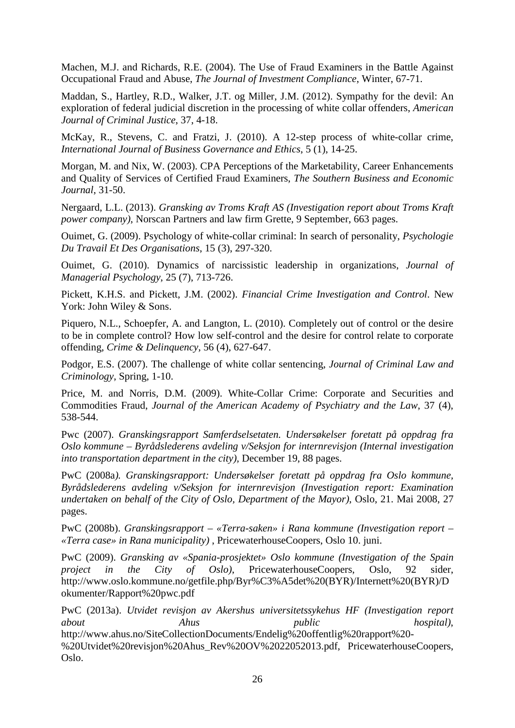Machen, M.J. and Richards, R.E. (2004). The Use of Fraud Examiners in the Battle Against Occupational Fraud and Abuse, *The Journal of Investment Compliance*, Winter, 67-71.

Maddan, S., Hartley, R.D., Walker, J.T. og Miller, J.M. (2012). Sympathy for the devil: An exploration of federal judicial discretion in the processing of white collar offenders, *American Journal of Criminal Justice*, 37, 4-18.

McKay, R., Stevens, C. and Fratzi, J. (2010). A 12-step process of white-collar crime, *International Journal of Business Governance and Ethics*, 5 (1), 14-25.

Morgan, M. and Nix, W. (2003). CPA Perceptions of the Marketability, Career Enhancements and Quality of Services of Certified Fraud Examiners, *The Southern Business and Economic Journal*, 31-50.

Nergaard, L.L. (2013). *Gransking av Troms Kraft AS (Investigation report about Troms Kraft power company)*, Norscan Partners and law firm Grette, 9 September, 663 pages.

Ouimet, G. (2009). Psychology of white-collar criminal: In search of personality, *Psychologie Du Travail Et Des Organisations*, 15 (3), 297-320.

Ouimet, G. (2010). Dynamics of narcissistic leadership in organizations, *Journal of Managerial Psychology*, 25 (7), 713-726.

Pickett, K.H.S. and Pickett, J.M. (2002). *Financial Crime Investigation and Control*. New York: John Wiley & Sons.

Piquero, N.L., Schoepfer, A. and Langton, L. (2010). Completely out of control or the desire to be in complete control? How low self-control and the desire for control relate to corporate offending, *Crime & Delinquency*, 56 (4), 627-647.

Podgor, E.S. (2007). The challenge of white collar sentencing, *Journal of Criminal Law and Criminology*, Spring, 1-10.

Price, M. and Norris, D.M. (2009). White-Collar Crime: Corporate and Securities and Commodities Fraud, *Journal of the American Academy of Psychiatry and the Law*, 37 (4), 538-544.

Pwc (2007). *Granskingsrapport Samferdselsetaten. Undersøkelser foretatt på oppdrag fra Oslo kommune – Byrådslederens avdeling v/Seksjon for internrevisjon (Internal investigation into transportation department in the city),* December 19, 88 pages.

PwC (2008a*). Granskingsrapport: Undersøkelser foretatt på oppdrag fra Oslo kommune, Byrådslederens avdeling v/Seksjon for internrevisjon (Investigation report: Examination undertaken on behalf of the City of Oslo, Department of the Mayor)*, Oslo, 21. Mai 2008, 27 pages.

PwC (2008b). *Granskingsrapport – «Terra-saken» i Rana kommune (Investigation report – «Terra case» in Rana municipality)* , PricewaterhouseCoopers, Oslo 10. juni.

PwC (2009). *Gransking av «Spania-prosjektet» Oslo kommune (Investigation of the Spain project in the City of Oslo)*, PricewaterhouseCoopers, Oslo, 92 sider, http://www.oslo.kommune.no/getfile.php/Byr%C3%A5det%20(BYR)/Internett%20(BYR)/D okumenter/Rapport%20pwc.pdf

PwC (2013a). *Utvidet revisjon av Akershus universitetssykehus HF (Investigation report about Ahus public hospital)*, http://www.ahus.no/SiteCollectionDocuments/Endelig%20offentlig%20rapport%20- %20Utvidet%20revisjon%20Ahus\_Rev%20OV%2022052013.pdf, PricewaterhouseCoopers, Oslo.